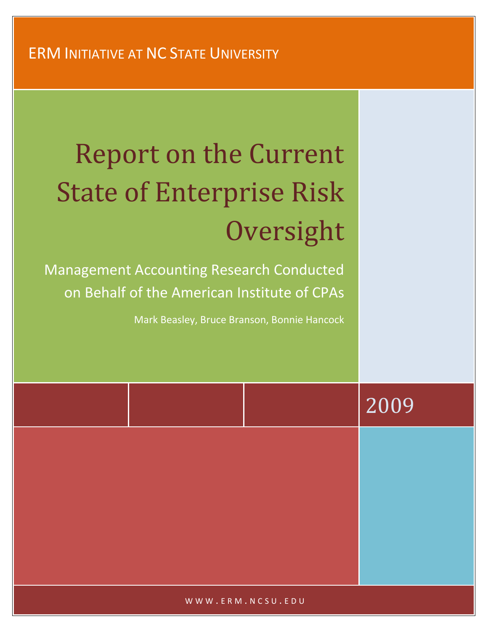# Report on the Current State of Enterprise Risk **Oversight**

Management Accounting Research Conducted on Behalf of the American Institute of CPAs

Mark Beasley, Bruce Branson, Bonnie Hancock

|  | 2009 |
|--|------|
|  |      |
|  |      |
|  |      |
|  |      |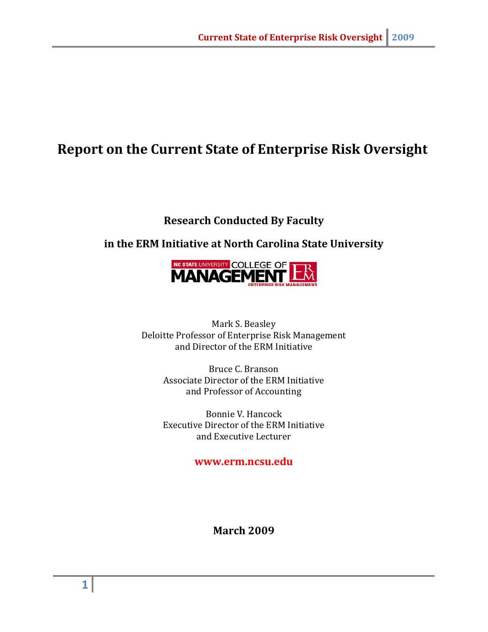# **Report on the Current State of Enterprise Risk Oversight**

# **Research Conducted By Faculty**

#### **in the ERM Initiative at North Carolina State University**



Mark S. Beasley Deloitte Professor of Enterprise Risk Management and Director of the ERM Initiative

> Bruce C. Branson Associate Director of the ERM Initiative and Professor of Accounting

> Bonnie V. Hancock Executive Director of the ERM Initiative and Executive Lecturer

#### **www.erm.ncsu.edu**

**March 2009**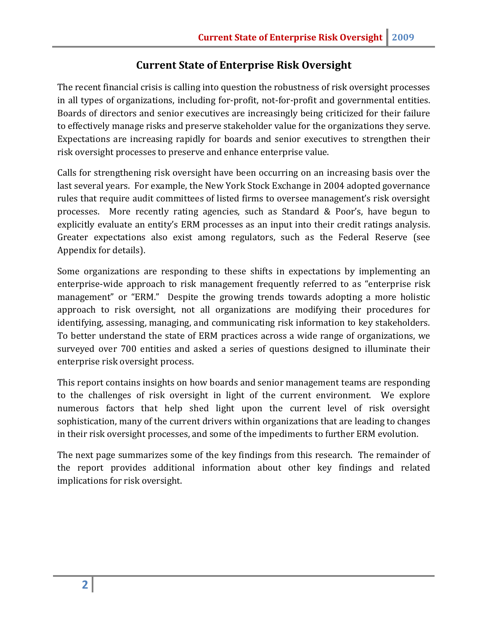#### **Current State of Enterprise Risk Oversight**

The recent financial crisis is calling into question the robustness of risk oversight processes in all types of organizations, including for-profit, not-for-profit and governmental entities. Boards of directors and senior executives are increasingly being criticized for their failure to effectively manage risks and preserve stakeholder value for the organizations they serve. Expectations are increasing rapidly for boards and senior executives to strengthen their risk oversight processes to preserve and enhance enterprise value.

Calls for strengthening risk oversight have been occurring on an increasing basis over the last several years. For example, the New York Stock Exchange in 2004 adopted governance rules that require audit committees of listed firms to oversee management's risk oversight processes. More recently rating agencies, such as Standard & Poor's, have begun to explicitly evaluate an entity's ERM processes as an input into their credit ratings analysis. Greater expectations also exist among regulators, such as the Federal Reserve (see Appendix for details).

Some organizations are responding to these shifts in expectations by implementing an enterprise-wide approach to risk management frequently referred to as "enterprise risk management" or "ERM." Despite the growing trends towards adopting a more holistic approach to risk oversight, not all organizations are modifying their procedures for identifying, assessing, managing, and communicating risk information to key stakeholders. To better understand the state of ERM practices across a wide range of organizations, we surveyed over 700 entities and asked a series of questions designed to illuminate their enterprise risk oversight process.

This report contains insights on how boards and senior management teams are responding to the challenges of risk oversight in light of the current environment. We explore numerous factors that help shed light upon the current level of risk oversight sophistication, many of the current drivers within organizations that are leading to changes in their risk oversight processes, and some of the impediments to further ERM evolution.

The next page summarizes some of the key findings from this research. The remainder of the report provides additional information about other key findings and related implications for risk oversight.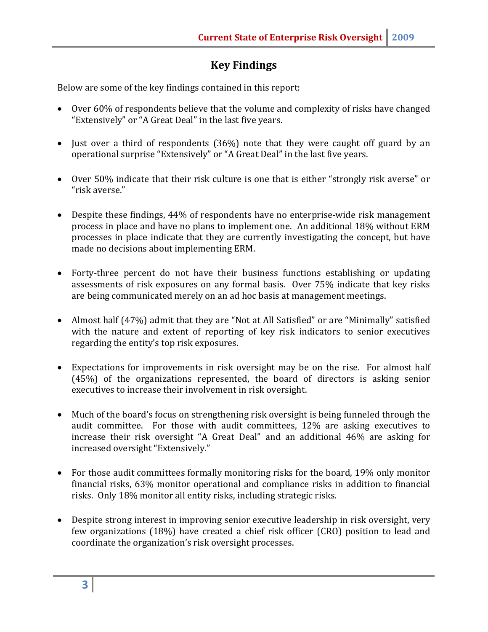# **Key Findings**

Below are some of the key findings contained in this report:

- Over 60% of respondents believe that the volume and complexity of risks have changed "Extensively" or "A Great Deal" in the last five years.
- Just over a third of respondents (36%) note that they were caught off guard by an operational surprise "Extensively" or "A Great Deal" in the last five years.
- Over 50% indicate that their risk culture is one that is either "strongly risk averse" or "risk averse."
- Despite these findings, 44% of respondents have no enterprise-wide risk management process in place and have no plans to implement one. An additional 18% without ERM processes in place indicate that they are currently investigating the concept, but have made no decisions about implementing ERM.
- Forty-three percent do not have their business functions establishing or updating assessments of risk exposures on any formal basis. Over 75% indicate that key risks are being communicated merely on an ad hoc basis at management meetings.
- Almost half (47%) admit that they are "Not at All Satisfied" or are "Minimally" satisfied with the nature and extent of reporting of key risk indicators to senior executives regarding the entity's top risk exposures.
- Expectations for improvements in risk oversight may be on the rise. For almost half (45%) of the organizations represented, the board of directors is asking senior executives to increase their involvement in risk oversight.
- Much of the board's focus on strengthening risk oversight is being funneled through the audit committee. For those with audit committees, 12% are asking executives to increase their risk oversight "A Great Deal" and an additional 46% are asking for increased oversight "Extensively."
- For those audit committees formally monitoring risks for the board, 19% only monitor financial risks, 63% monitor operational and compliance risks in addition to financial risks. Only 18% monitor all entity risks, including strategic risks.
- Despite strong interest in improving senior executive leadership in risk oversight, very few organizations (18%) have created a chief risk officer (CRO) position to lead and coordinate the organization's risk oversight processes.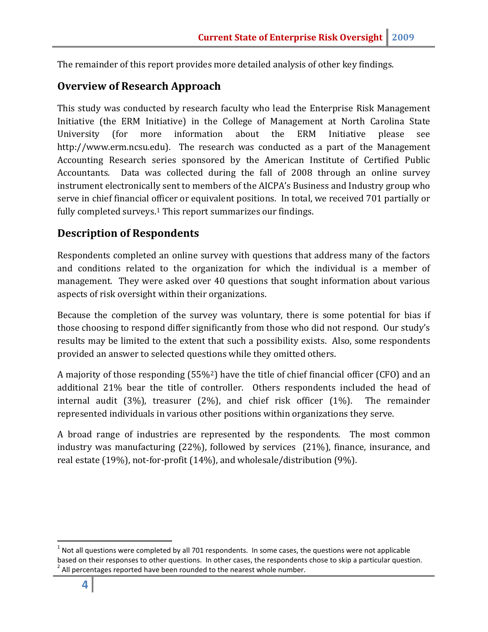The remainder of this report provides more detailed analysis of other key findings.

#### **Overview of Research Approach**

This study was conducted by research faculty who lead the Enterprise Risk Management Initiative (the ERM Initiative) in the College of Management at North Carolina State University (for more information about the ERM Initiative please see http://www.erm.ncsu.edu). The research was conducted as a part of the Management Accounting Research series sponsored by the American Institute of Certified Public Accountants. Data was collected during the fall of 2008 through an online survey instrument electronically sent to members of the AICPA's Business and Industry group who serve in chief financial officer or equivalent positions. In total, we received 701 partially or fully completed surveys.<sup>[1](#page-4-0)</sup> This report summarizes our findings.

#### **Description of Respondents**

Respondents completed an online survey with questions that address many of the factors and conditions related to the organization for which the individual is a member of management. They were asked over 40 questions that sought information about various aspects of risk oversight within their organizations.

Because the completion of the survey was voluntary, there is some potential for bias if those choosing to respond differ significantly from those who did not respond. Our study's results may be limited to the extent that such a possibility exists. Also, some respondents provided an answer to selected quest[io](#page-4-1)ns while they omitted others.

A majority of those responding (55%<sup>2</sup>) have the title of chief financial officer (CFO) and an additional 21% bear the title of controller. Others respondents included the head of internal audit (3%), treasurer (2%), and chief risk officer (1%). The remainder represented individuals in various other positions within organizations they serve.

A broad range of industries are represented by the respondents. The most common industry was manufacturing (22%), followed by services (21%), finance, insurance, and real estate (19%), not-for-profit (14%), and wholesale/distribution (9%).

<span id="page-4-1"></span><span id="page-4-0"></span> $1$  Not all questions were completed by all 701 respondents. In some cases, the questions were not applicable based on their responses to other questions. In other cases, the respondents chose to skip a particular question.  $2$  All percentages reported have been rounded to the nearest whole number.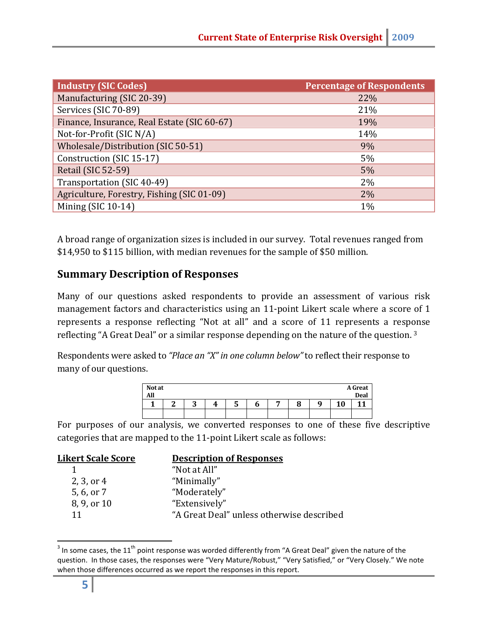| <b>Industry (SIC Codes)</b>                 | <b>Percentage of Respondents</b> |
|---------------------------------------------|----------------------------------|
| Manufacturing (SIC 20-39)                   | 22%                              |
| Services (SIC 70-89)                        | 21%                              |
| Finance, Insurance, Real Estate (SIC 60-67) | 19%                              |
| Not-for-Profit (SIC N/A)                    | 14%                              |
| Wholesale/Distribution (SIC 50-51)          | 9%                               |
| Construction (SIC 15-17)                    | 5%                               |
| <b>Retail (SIC 52-59)</b>                   | 5%                               |
| Transportation (SIC 40-49)                  | 2%                               |
| Agriculture, Forestry, Fishing (SIC 01-09)  | 2%                               |
| Mining (SIC 10-14)                          | $1\%$                            |

A broad range of organization sizes is included in our survey. Total revenues ranged from \$14,950 to \$115 billion, with median revenues for the sample of \$50 million.

#### **Summary Description of Responses**

Many of our questions asked respondents to provide an assessment of various risk management factors and characteristics using an 11-point Likert scale where a score of 1 represents a response reflecting "Not at all" and a score of 11 represents a resp[on](#page-5-0)se reflecting "A Great Deal" or a similar response depending on the nature of the question. <sup>3</sup>

Respondents were asked to *"Place an "X" in one column below"* to reflect their response to many of our questions.

| <b>Not at</b><br>All |   |   |    |   |   |        |   |    | <b>A</b> Great<br><b>Deal</b> |
|----------------------|---|---|----|---|---|--------|---|----|-------------------------------|
|                      | ົ | м | Д. | C | o | Ω<br>о | о | 10 | ◢                             |
|                      |   |   |    |   |   |        |   |    |                               |

For purposes of our analysis, we converted responses to one of these five descriptive categories that are mapped to the 11-point Likert scale as follows:

| <u> Likert Scale Score</u> | <b>Description of Responses</b>           |
|----------------------------|-------------------------------------------|
|                            | "Not at All"                              |
| 2, 3, or 4                 | "Minimally"                               |
| 5, 6, or 7                 | "Moderately"                              |
| 8, 9, or 10                | "Extensively"                             |
| 11                         | "A Great Deal" unless otherwise described |
|                            |                                           |

<span id="page-5-0"></span> $3$  In some cases, the 11<sup>th</sup> point response was worded differently from "A Great Deal" given the nature of the question. In those cases, the responses were "Very Mature/Robust," "Very Satisfied," or "Very Closely." We note when those differences occurred as we report the responses in this report.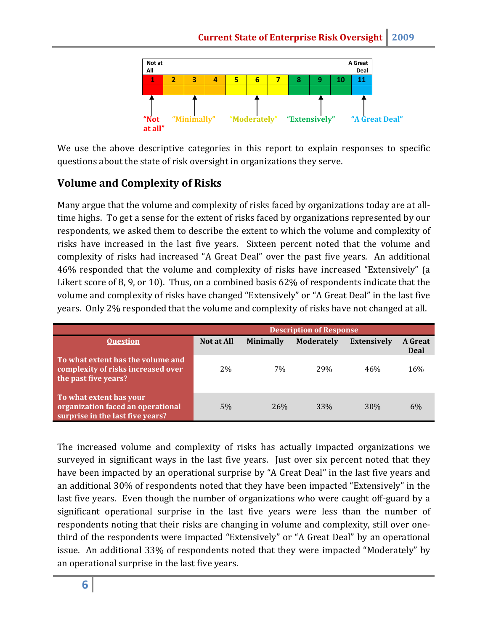

We use the above descriptive categories in this report to explain responses to specific questions about the state of risk oversight in organizations they serve.

# **Volume and Complexity of Risks**

Many argue that the volume and complexity of risks faced by organizations today are at alltime highs. To get a sense for the extent of risks faced by organizations represented by our respondents, we asked them to describe the extent to which the volume and complexity of risks have increased in the last five years. Sixteen percent noted that the volume and complexity of risks had increased "A Great Deal" over the past five years. An additional 46% responded that the volume and complexity of risks have increased "Extensively" (a Likert score of 8, 9, or 10). Thus, on a combined basis 62% of respondents indicate that the volume and complexity of risks have changed "Extensively" or "A Great Deal" in the last five years. Only 2% responded that the volume and complexity of risks have not changed at all.

|                                                                                                  | <b>Description of Response</b> |                  |                   |                    |                 |  |
|--------------------------------------------------------------------------------------------------|--------------------------------|------------------|-------------------|--------------------|-----------------|--|
| <b>Ouestion</b>                                                                                  | Not at All                     | <b>Minimally</b> | <b>Moderately</b> | <b>Extensively</b> | A Great<br>Deal |  |
| To what extent has the volume and<br>complexity of risks increased over<br>the past five years?  | 2%                             | 7%               | 29%               | 46%                | 16%             |  |
| To what extent has your<br>organization faced an operational<br>surprise in the last five years? | 5%                             | 26%              | 33%               | <b>30%</b>         | 6%              |  |

The increased volume and complexity of risks has actually impacted organizations we surveyed in significant ways in the last five years. Just over six percent noted that they have been impacted by an operational surprise by "A Great Deal" in the last five years and an additional 30% of respondents noted that they have been impacted "Extensively" in the last five years. Even though the number of organizations who were caught off-guard by a significant operational surprise in the last five years were less than the number of respondents noting that their risks are changing in volume and complexity, still over onethird of the respondents were impacted "Extensively" or "A Great Deal" by an operational issue. An additional 33% of respondents noted that they were impacted "Moderately" by an operational surprise in the last five years.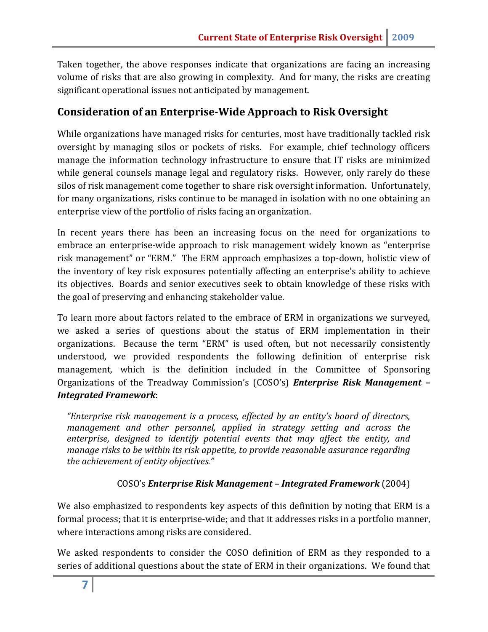Taken together, the above responses indicate that organizations are facing an increasing volume of risks that are also growing in complexity. And for many, the risks are creating significant operational issues not anticipated by management.

#### **Consideration of an Enterprise-Wide Approach to Risk Oversight**

While organizations have managed risks for centuries, most have traditionally tackled risk oversight by managing silos or pockets of risks. For example, chief technology officers manage the information technology infrastructure to ensure that IT risks are minimized while general counsels manage legal and regulatory risks. However, only rarely do these silos of risk management come together to share risk oversight information. Unfortunately, for many organizations, risks continue to be managed in isolation with no one obtaining an enterprise view of the portfolio of risks facing an organization.

In recent years there has been an increasing focus on the need for organizations to embrace an enterprise-wide approach to risk management widely known as "enterprise risk management" or "ERM." The ERM approach emphasizes a top-down, holistic view of the inventory of key risk exposures potentially affecting an enterprise's ability to achieve its objectives. Boards and senior executives seek to obtain knowledge of these risks with the goal of preserving and enhancing stakeholder value.

To learn more about factors related to the embrace of ERM in organizations we surveyed, we asked a series of questions about the status of ERM implementation in their organizations. Because the term "ERM" is used often, but not necessarily consistently understood, we provided respondents the following definition of enterprise risk management, which is the definition included in the Committee of Sponsoring Organizations of the Treadway Commission's (COSO's) *Enterprise Risk Management – Integrated Framework*:

*"Enterprise risk management is a process, effected by an entity's board of directors, management and other personnel, applied in strategy setting and across the enterprise, designed to identify potential events that may affect the entity, and manage risks to be within its risk appetite, to provide reasonable assurance regarding the achievement of entity objectives."*

#### COSO's *Enterprise Risk Management – Integrated Framework* (2004)

We also emphasized to respondents key aspects of this definition by noting that ERM is a formal process; that it is enterprise-wide; and that it addresses risks in a portfolio manner, where interactions among risks are considered.

We asked respondents to consider the COSO definition of ERM as they responded to a series of additional questions about the state of ERM in their organizations. We found that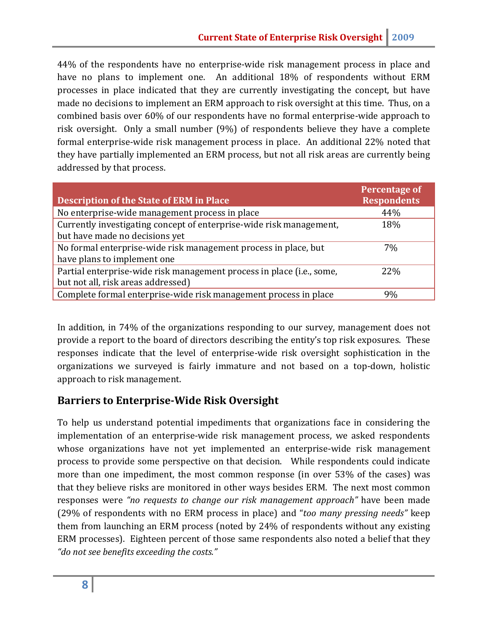44% of the respondents have no enterprise-wide risk management process in place and have no plans to implement one. An additional 18% of respondents without ERM processes in place indicated that they are currently investigating the concept, but have made no decisions to implement an ERM approach to risk oversight at this time. Thus, on a combined basis over 60% of our respondents have no formal enterprise-wide approach to risk oversight. Only a small number (9%) of respondents believe they have a complete formal enterprise-wide risk management process in place. An additional 22% noted that they have partially implemented an ERM process, but not all risk areas are currently being addressed by that process.

| <b>Description of the State of ERM in Place</b>                       | <b>Percentage of</b><br><b>Respondents</b> |
|-----------------------------------------------------------------------|--------------------------------------------|
| No enterprise-wide management process in place                        | 44%                                        |
| Currently investigating concept of enterprise-wide risk management,   | 18%                                        |
| but have made no decisions yet                                        |                                            |
| No formal enterprise-wide risk management process in place, but       | 7%                                         |
| have plans to implement one                                           |                                            |
| Partial enterprise-wide risk management process in place (i.e., some, | 22%                                        |
| but not all, risk areas addressed)                                    |                                            |
| Complete formal enterprise-wide risk management process in place      | 9%                                         |

In addition, in 74% of the organizations responding to our survey, management does not provide a report to the board of directors describing the entity's top risk exposures. These responses indicate that the level of enterprise-wide risk oversight sophistication in the organizations we surveyed is fairly immature and not based on a top-down, holistic approach to risk management.

#### **Barriers to Enterprise-Wide Risk Oversight**

To help us understand potential impediments that organizations face in considering the implementation of an enterprise-wide risk management process, we asked respondents whose organizations have not yet implemented an enterprise-wide risk management process to provide some perspective on that decision. While respondents could indicate more than one impediment, the most common response (in over 53% of the cases) was that they believe risks are monitored in other ways besides ERM. The next most common responses were *"no requests to change our risk management approach"* have been made (29% of respondents with no ERM process in place) and "*too many pressing needs"* keep them from launching an ERM process (noted by 24% of respondents without any existing ERM processes). Eighteen percent of those same respondents also noted a belief that they *"do not see benefits exceeding the costs."*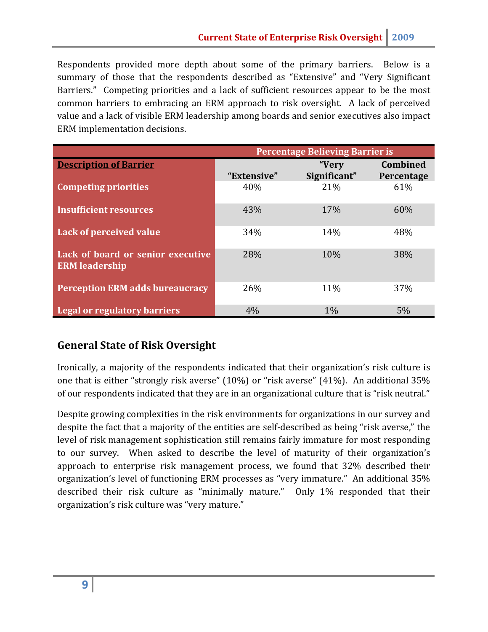Respondents provided more depth about some of the primary barriers. Below is a summary of those that the respondents described as "Extensive" and "Very Significant Barriers." Competing priorities and a lack of sufficient resources appear to be the most common barriers to embracing an ERM approach to risk oversight. A lack of perceived value and a lack of visible ERM leadership among boards and senior executives also impact ERM implementation decisions.

|                                                            | <b>Percentage Believing Barrier is</b> |              |                 |  |  |
|------------------------------------------------------------|----------------------------------------|--------------|-----------------|--|--|
| <b>Description of Barrier</b>                              |                                        | "Very        | <b>Combined</b> |  |  |
|                                                            | "Extensive"                            | Significant" | Percentage      |  |  |
| <b>Competing priorities</b>                                | 40%                                    | 21%          | 61%             |  |  |
| <b>Insufficient resources</b>                              | 43%                                    | 17%          | 60%             |  |  |
| Lack of perceived value                                    | 34%                                    | 14%          | 48%             |  |  |
| Lack of board or senior executive<br><b>ERM</b> leadership | 28%                                    | 10%          | 38%             |  |  |
| <b>Perception ERM adds bureaucracy</b>                     | 26%                                    | 11%          | 37%             |  |  |
| <b>Legal or regulatory barriers</b>                        | 4%                                     | $1\%$        | 5%              |  |  |

#### **General State of Risk Oversight**

Ironically, a majority of the respondents indicated that their organization's risk culture is one that is either "strongly risk averse" (10%) or "risk averse" (41%). An additional 35% of our respondents indicated that they are in an organizational culture that is "risk neutral."

Despite growing complexities in the risk environments for organizations in our survey and despite the fact that a majority of the entities are self-described as being "risk averse," the level of risk management sophistication still remains fairly immature for most responding to our survey. When asked to describe the level of maturity of their organization's approach to enterprise risk management process, we found that 32% described their organization's level of functioning ERM processes as "very immature." An additional 35% described their risk culture as "minimally mature." Only 1% responded that their organization's risk culture was "very mature."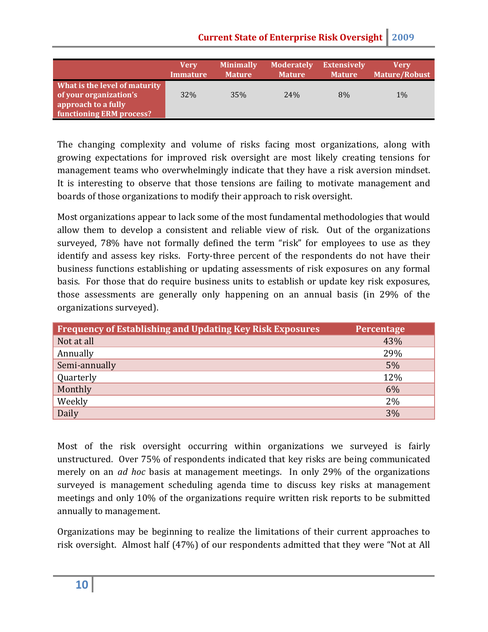**Current State of Enterprise Risk Oversight** 2009

|                                                                                                                   | Verv            | <b>Minimally</b> | <b>Moderately</b> | <b>Extensively</b> | Verv                 |
|-------------------------------------------------------------------------------------------------------------------|-----------------|------------------|-------------------|--------------------|----------------------|
|                                                                                                                   | <b>Immature</b> | <b>Mature</b>    | <b>Mature</b>     | <b>Mature</b>      | <b>Mature/Robust</b> |
| What is the level of maturity<br>of your organization's<br>approach to a fully<br><b>functioning ERM process?</b> | 32%             | 35%              | 24%               | 8%                 | $1\%$                |

The changing complexity and volume of risks facing most organizations, along with growing expectations for improved risk oversight are most likely creating tensions for management teams who overwhelmingly indicate that they have a risk aversion mindset. It is interesting to observe that those tensions are failing to motivate management and boards of those organizations to modify their approach to risk oversight.

Most organizations appear to lack some of the most fundamental methodologies that would allow them to develop a consistent and reliable view of risk. Out of the organizations surveyed, 78% have not formally defined the term "risk" for employees to use as they identify and assess key risks. Forty-three percent of the respondents do not have their business functions establishing or updating assessments of risk exposures on any formal basis. For those that do require business units to establish or update key risk exposures, those assessments are generally only happening on an annual basis (in 29% of the organizations surveyed).

| <b>Frequency of Establishing and Updating Key Risk Exposures</b> | <b>Percentage</b> |
|------------------------------------------------------------------|-------------------|
| Not at all                                                       | 43%               |
| Annually                                                         | 29%               |
| Semi-annually                                                    | 5%                |
| Quarterly                                                        | 12%               |
| Monthly                                                          | 6%                |
| Weekly                                                           | 2%                |
| Daily                                                            | 3%                |

Most of the risk oversight occurring within organizations we surveyed is fairly unstructured. Over 75% of respondents indicated that key risks are being communicated merely on an *ad hoc* basis at management meetings. In only 29% of the organizations surveyed is management scheduling agenda time to discuss key risks at management meetings and only 10% of the organizations require written risk reports to be submitted annually to management.

Organizations may be beginning to realize the limitations of their current approaches to risk oversight. Almost half (47%) of our respondents admitted that they were "Not at All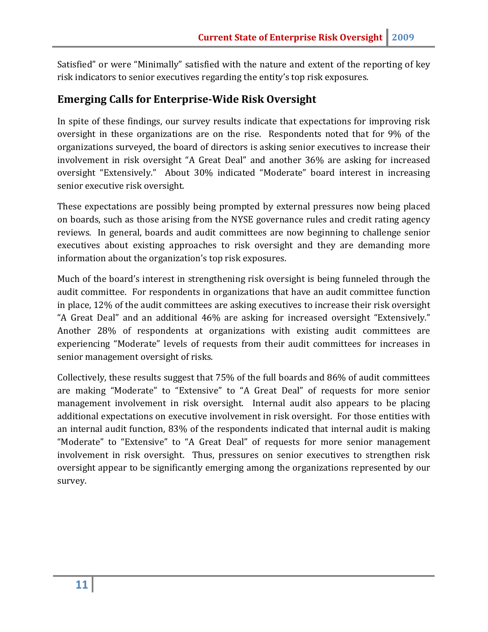Satisfied" or were "Minimally" satisfied with the nature and extent of the reporting of key risk indicators to senior executives regarding the entity's top risk exposures.

#### **Emerging Calls for Enterprise-Wide Risk Oversight**

In spite of these findings, our survey results indicate that expectations for improving risk oversight in these organizations are on the rise. Respondents noted that for 9% of the organizations surveyed, the board of directors is asking senior executives to increase their involvement in risk oversight "A Great Deal" and another 36% are asking for increased oversight "Extensively." About 30% indicated "Moderate" board interest in increasing senior executive risk oversight.

These expectations are possibly being prompted by external pressures now being placed on boards, such as those arising from the NYSE governance rules and credit rating agency reviews. In general, boards and audit committees are now beginning to challenge senior executives about existing approaches to risk oversight and they are demanding more information about the organization's top risk exposures.

Much of the board's interest in strengthening risk oversight is being funneled through the audit committee. For respondents in organizations that have an audit committee function in place, 12% of the audit committees are asking executives to increase their risk oversight "A Great Deal" and an additional 46% are asking for increased oversight "Extensively." Another 28% of respondents at organizations with existing audit committees are experiencing "Moderate" levels of requests from their audit committees for increases in senior management oversight of risks.

Collectively, these results suggest that 75% of the full boards and 86% of audit committees are making "Moderate" to "Extensive" to "A Great Deal" of requests for more senior management involvement in risk oversight. Internal audit also appears to be placing additional expectations on executive involvement in risk oversight. For those entities with an internal audit function, 83% of the respondents indicated that internal audit is making "Moderate" to "Extensive" to "A Great Deal" of requests for more senior management involvement in risk oversight. Thus, pressures on senior executives to strengthen risk oversight appear to be significantly emerging among the organizations represented by our survey.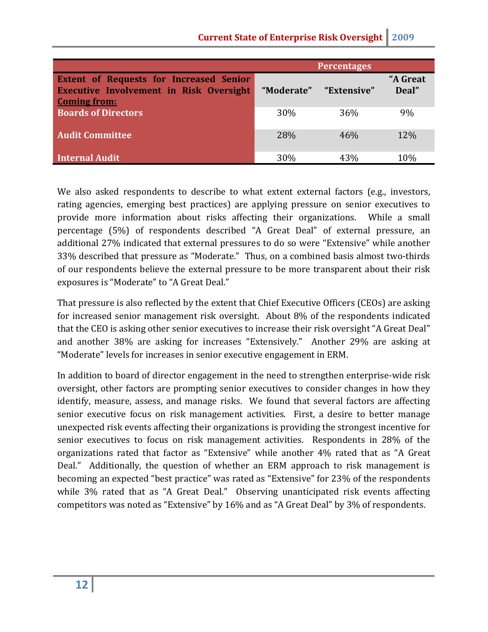|                                                                                                                         |            | <b>Percentages</b> |                   |
|-------------------------------------------------------------------------------------------------------------------------|------------|--------------------|-------------------|
| <b>Extent of Requests for Increased Senior</b><br><b>Executive Involvement in Risk Oversight</b><br><b>Coming from:</b> | "Moderate" | "Extensive"        | "A Great<br>Deal" |
| <b>Boards of Directors</b>                                                                                              | 30%        | 36%                | 9%                |
| <b>Audit Committee</b>                                                                                                  | 28%        | 46%                | <b>12%</b>        |
| Internal Audit                                                                                                          | 30%        | 43%                | 10%               |

We also asked respondents to describe to what extent external factors (e.g., investors, rating agencies, emerging best practices) are applying pressure on senior executives to provide more information about risks affecting their organizations. While a small percentage (5%) of respondents described "A Great Deal" of external pressure, an additional 27% indicated that external pressures to do so were "Extensive" while another 33% described that pressure as "Moderate." Thus, on a combined basis almost two-thirds of our respondents believe the external pressure to be more transparent about their risk exposures is "Moderate" to "A Great Deal."

That pressure is also reflected by the extent that Chief Executive Officers (CEOs) are asking for increased senior management risk oversight. About 8% of the respondents indicated that the CEO is asking other senior executives to increase their risk oversight "A Great Deal" and another 38% are asking for increases "Extensively." Another 29% are asking at "Moderate" levels for increases in senior executive engagement in ERM.

In addition to board of director engagement in the need to strengthen enterprise-wide risk oversight, other factors are prompting senior executives to consider changes in how they identify, measure, assess, and manage risks. We found that several factors are affecting senior executive focus on risk management activities. First, a desire to better manage unexpected risk events affecting their organizations is providing the strongest incentive for senior executives to focus on risk management activities. Respondents in 28% of the organizations rated that factor as "Extensive" while another 4% rated that as "A Great Deal." Additionally, the question of whether an ERM approach to risk management is becoming an expected "best practice" was rated as "Extensive" for 23% of the respondents while 3% rated that as "A Great Deal." Observing unanticipated risk events affecting competitors was noted as "Extensive" by 16% and as "A Great Deal" by 3% of respondents.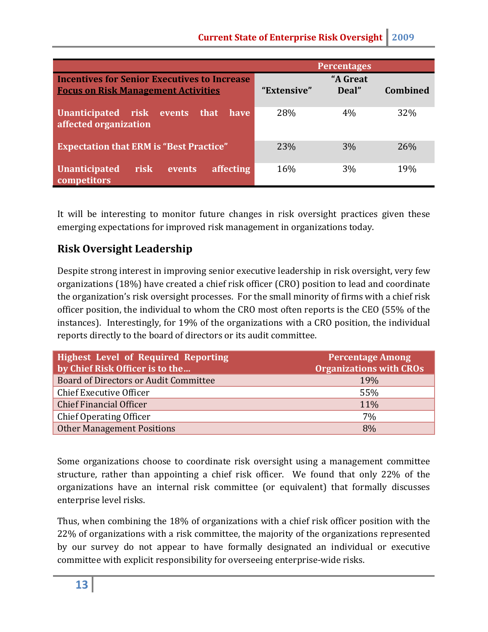|                                                                                                   |             | <b>Percentages</b> |                 |
|---------------------------------------------------------------------------------------------------|-------------|--------------------|-----------------|
| <b>Incentives for Senior Executives to Increase</b><br><b>Focus on Risk Management Activities</b> | "Extensive" | "A Great<br>Deal"  | <b>Combined</b> |
| Unanticipated risk events<br>have<br>that<br>affected organization                                | 28%         | 4%                 | 32%             |
| <b>Expectation that ERM is "Best Practice"</b>                                                    | 23%         | 3%                 | 26%             |
| affecting<br><b>risk</b><br><b>Unanticipated</b><br>events<br>competitors                         | 16%         | 3%                 | 19%             |

It will be interesting to monitor future changes in risk oversight practices given these emerging expectations for improved risk management in organizations today.

# **Risk Oversight Leadership**

Despite strong interest in improving senior executive leadership in risk oversight, very few organizations (18%) have created a chief risk officer (CRO) position to lead and coordinate the organization's risk oversight processes. For the small minority of firms with a chief risk officer position, the individual to whom the CRO most often reports is the CEO (55% of the instances). Interestingly, for 19% of the organizations with a CRO position, the individual reports directly to the board of directors or its audit committee.

| <b>Highest Level of Required Reporting</b><br>by Chief Risk Officer is to the | <b>Percentage Among</b><br><b>Organizations with CROs</b> |
|-------------------------------------------------------------------------------|-----------------------------------------------------------|
| Board of Directors or Audit Committee                                         | 19%                                                       |
| Chief Executive Officer                                                       | 55%                                                       |
| <b>Chief Financial Officer</b>                                                | 11%                                                       |
| Chief Operating Officer                                                       | 7%                                                        |
| <b>Other Management Positions</b>                                             | 8%                                                        |

Some organizations choose to coordinate risk oversight using a management committee structure, rather than appointing a chief risk officer. We found that only 22% of the organizations have an internal risk committee (or equivalent) that formally discusses enterprise level risks.

Thus, when combining the 18% of organizations with a chief risk officer position with the 22% of organizations with a risk committee, the majority of the organizations represented by our survey do not appear to have formally designated an individual or executive committee with explicit responsibility for overseeing enterprise-wide risks.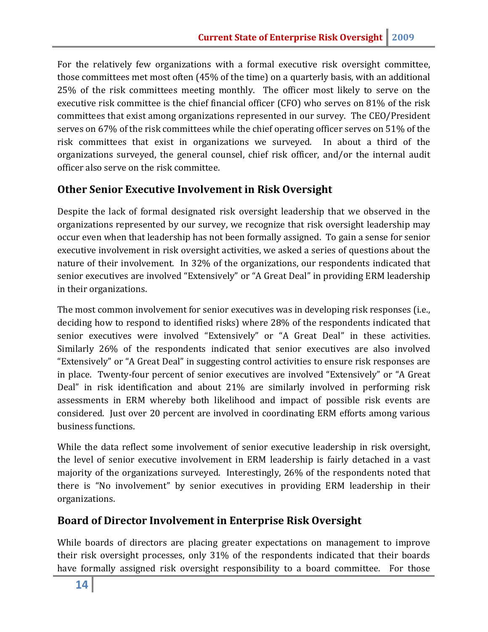For the relatively few organizations with a formal executive risk oversight committee, those committees met most often (45% of the time) on a quarterly basis, with an additional 25% of the risk committees meeting monthly. The officer most likely to serve on the executive risk committee is the chief financial officer (CFO) who serves on 81% of the risk committees that exist among organizations represented in our survey. The CEO/President serves on 67% of the risk committees while the chief operating officer serves on 51% of the risk committees that exist in organizations we surveyed. In about a third of the organizations surveyed, the general counsel, chief risk officer, and/or the internal audit officer also serve on the risk committee.

#### **Other Senior Executive Involvement in Risk Oversight**

Despite the lack of formal designated risk oversight leadership that we observed in the organizations represented by our survey, we recognize that risk oversight leadership may occur even when that leadership has not been formally assigned. To gain a sense for senior executive involvement in risk oversight activities, we asked a series of questions about the nature of their involvement. In 32% of the organizations, our respondents indicated that senior executives are involved "Extensively" or "A Great Deal" in providing ERM leadership in their organizations.

The most common involvement for senior executives was in developing risk responses (i.e., deciding how to respond to identified risks) where 28% of the respondents indicated that senior executives were involved "Extensively" or "A Great Deal" in these activities. Similarly 26% of the respondents indicated that senior executives are also involved "Extensively" or "A Great Deal" in suggesting control activities to ensure risk responses are in place. Twenty-four percent of senior executives are involved "Extensively" or "A Great Deal" in risk identification and about 21% are similarly involved in performing risk assessments in ERM whereby both likelihood and impact of possible risk events are considered. Just over 20 percent are involved in coordinating ERM efforts among various business functions.

While the data reflect some involvement of senior executive leadership in risk oversight, the level of senior executive involvement in ERM leadership is fairly detached in a vast majority of the organizations surveyed. Interestingly, 26% of the respondents noted that there is "No involvement" by senior executives in providing ERM leadership in their organizations.

#### **Board of Director Involvement in Enterprise Risk Oversight**

While boards of directors are placing greater expectations on management to improve their risk oversight processes, only 31% of the respondents indicated that their boards have formally assigned risk oversight responsibility to a board committee. For those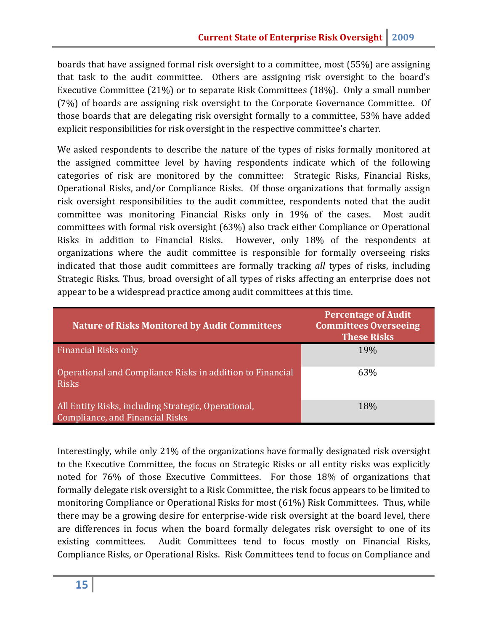boards that have assigned formal risk oversight to a committee, most (55%) are assigning that task to the audit committee. Others are assigning risk oversight to the board's Executive Committee (21%) or to separate Risk Committees (18%). Only a small number (7%) of boards are assigning risk oversight to the Corporate Governance Committee. Of those boards that are delegating risk oversight formally to a committee, 53% have added explicit responsibilities for risk oversight in the respective committee's charter.

We asked respondents to describe the nature of the types of risks formally monitored at the assigned committee level by having respondents indicate which of the following categories of risk are monitored by the committee: Strategic Risks, Financial Risks, Operational Risks, and/or Compliance Risks. Of those organizations that formally assign risk oversight responsibilities to the audit committee, respondents noted that the audit committee was monitoring Financial Risks only in 19% of the cases. Most audit committees with formal risk oversight (63%) also track either Compliance or Operational Risks in addition to Financial Risks. However, only 18% of the respondents at organizations where the audit committee is responsible for formally overseeing risks indicated that those audit committees are formally tracking *all* types of risks, including Strategic Risks. Thus, broad oversight of all types of risks affecting an enterprise does not appear to be a widespread practice among audit committees at this time.

| <b>Nature of Risks Monitored by Audit Committees</b>                                   | <b>Percentage of Audit</b><br><b>Committees Overseeing</b><br><b>These Risks</b> |
|----------------------------------------------------------------------------------------|----------------------------------------------------------------------------------|
| <b>Financial Risks only</b>                                                            | 19%                                                                              |
| Operational and Compliance Risks in addition to Financial<br><b>Risks</b>              | 63%                                                                              |
| All Entity Risks, including Strategic, Operational,<br>Compliance, and Financial Risks | 18%                                                                              |

Interestingly, while only 21% of the organizations have formally designated risk oversight to the Executive Committee, the focus on Strategic Risks or all entity risks was explicitly noted for 76% of those Executive Committees. For those 18% of organizations that formally delegate risk oversight to a Risk Committee, the risk focus appears to be limited to monitoring Compliance or Operational Risks for most (61%) Risk Committees. Thus, while there may be a growing desire for enterprise-wide risk oversight at the board level, there are differences in focus when the board formally delegates risk oversight to one of its existing committees. Audit Committees tend to focus mostly on Financial Risks, Compliance Risks, or Operational Risks. Risk Committees tend to focus on Compliance and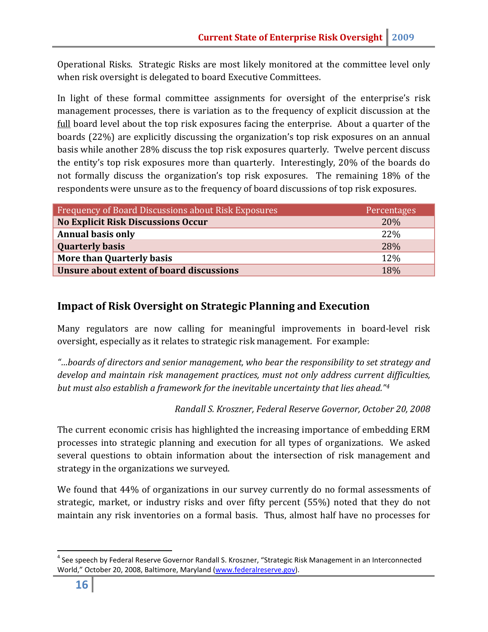Operational Risks. Strategic Risks are most likely monitored at the committee level only when risk oversight is delegated to board Executive Committees.

In light of these formal committee assignments for oversight of the enterprise's risk management processes, there is variation as to the frequency of explicit discussion at the full board level about the top risk exposures facing the enterprise. About a quarter of the boards (22%) are explicitly discussing the organization's top risk exposures on an annual basis while another 28% discuss the top risk exposures quarterly. Twelve percent discuss the entity's top risk exposures more than quarterly. Interestingly, 20% of the boards do not formally discuss the organization's top risk exposures. The remaining 18% of the respondents were unsure as to the frequency of board discussions of top risk exposures.

| Frequency of Board Discussions about Risk Exposures | Percentages |
|-----------------------------------------------------|-------------|
| <b>No Explicit Risk Discussions Occur</b>           | 20%         |
| <b>Annual basis only</b>                            | 22%         |
| <b>Quarterly basis</b>                              | 28%         |
| <b>More than Quarterly basis</b>                    | 12%         |
| Unsure about extent of board discussions            | 18%         |

#### **Impact of Risk Oversight on Strategic Planning and Execution**

Many regulators are now calling for meaningful improvements in board-level risk oversight, especially as it relates to strategic risk management. For example:

*"…boards of directors and senior management, who bear the responsibility to set strategy and develop and maintain risk management practices, must not only address current difficulties, but must also establish a framework for the inevitable uncertainty that lies ahead."[4](#page-16-0)*

*Randall S. Kroszner, Federal Reserve Governor, October 20, 2008*

The current economic crisis has highlighted the increasing importance of embedding ERM processes into strategic planning and execution for all types of organizations. We asked several questions to obtain information about the intersection of risk management and strategy in the organizations we surveyed.

We found that 44% of organizations in our survey currently do no formal assessments of strategic, market, or industry risks and over fifty percent (55%) noted that they do not maintain any risk inventories on a formal basis. Thus, almost half have no processes for

<span id="page-16-0"></span> $4$  See speech by Federal Reserve Governor Randall S. Kroszner, "Strategic Risk Management in an Interconnected World," October 20, 2008, Baltimore, Maryland [\(www.federalreserve.gov\)](http://www.federalreserve.gov/).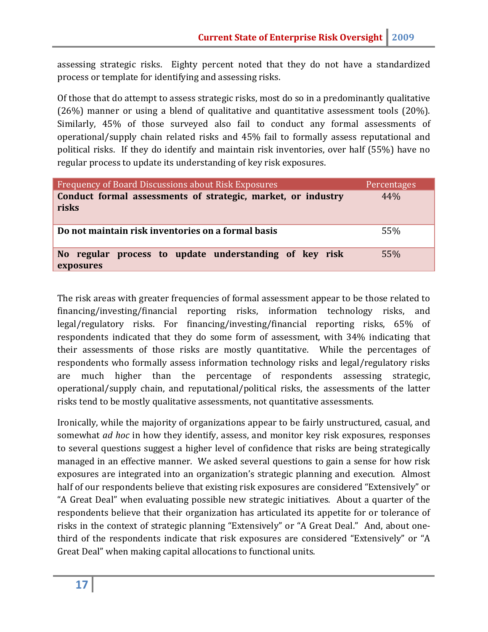assessing strategic risks. Eighty percent noted that they do not have a standardized process or template for identifying and assessing risks.

Of those that do attempt to assess strategic risks, most do so in a predominantly qualitative (26%) manner or using a blend of qualitative and quantitative assessment tools (20%). Similarly, 45% of those surveyed also fail to conduct any formal assessments of operational/supply chain related risks and 45% fail to formally assess reputational and political risks. If they do identify and maintain risk inventories, over half (55%) have no regular process to update its understanding of key risk exposures.

| <b>Frequency of Board Discussions about Risk Exposures</b>            | Percentages |
|-----------------------------------------------------------------------|-------------|
| Conduct formal assessments of strategic, market, or industry<br>risks | 44%         |
| Do not maintain risk inventories on a formal basis                    | 55%         |
| No regular process to update understanding of key risk<br>exposures   | 55%         |

The risk areas with greater frequencies of formal assessment appear to be those related to financing/investing/financial reporting risks, information technology risks, and legal/regulatory risks. For financing/investing/financial reporting risks, 65% of respondents indicated that they do some form of assessment, with 34% indicating that their assessments of those risks are mostly quantitative. While the percentages of respondents who formally assess information technology risks and legal/regulatory risks are much higher than the percentage of respondents assessing strategic, operational/supply chain, and reputational/political risks, the assessments of the latter risks tend to be mostly qualitative assessments, not quantitative assessments.

Ironically, while the majority of organizations appear to be fairly unstructured, casual, and somewhat *ad hoc* in how they identify, assess, and monitor key risk exposures, responses to several questions suggest a higher level of confidence that risks are being strategically managed in an effective manner. We asked several questions to gain a sense for how risk exposures are integrated into an organization's strategic planning and execution. Almost half of our respondents believe that existing risk exposures are considered "Extensively" or "A Great Deal" when evaluating possible new strategic initiatives. About a quarter of the respondents believe that their organization has articulated its appetite for or tolerance of risks in the context of strategic planning "Extensively" or "A Great Deal." And, about onethird of the respondents indicate that risk exposures are considered "Extensively" or "A Great Deal" when making capital allocations to functional units.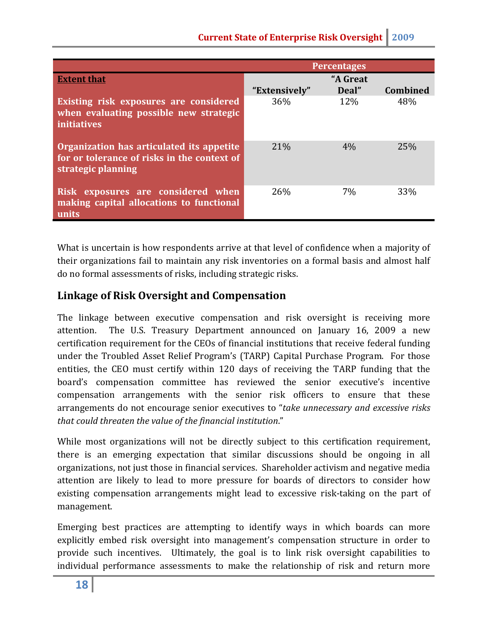|                                                                                                                | <b>Percentages</b> |                   |                 |  |
|----------------------------------------------------------------------------------------------------------------|--------------------|-------------------|-----------------|--|
| <b>Extent that</b>                                                                                             | "Extensively"      | "A Great<br>Deal" | <b>Combined</b> |  |
| Existing risk exposures are considered<br>when evaluating possible new strategic<br><i>initiatives</i>         | 36%                | 12%               | 48%             |  |
| Organization has articulated its appetite<br>for or tolerance of risks in the context of<br>strategic planning | 21%                | 4%                | 25%             |  |
| Risk exposures are considered when<br>making capital allocations to functional<br>units                        | 26%                | 7%                | 33%             |  |

What is uncertain is how respondents arrive at that level of confidence when a majority of their organizations fail to maintain any risk inventories on a formal basis and almost half do no formal assessments of risks, including strategic risks.

# **Linkage of Risk Oversight and Compensation**

The linkage between executive compensation and risk oversight is receiving more attention. The U.S. Treasury Department announced on January 16, 2009 a new certification requirement for the CEOs of financial institutions that receive federal funding under the Troubled Asset Relief Program's (TARP) Capital Purchase Program. For those entities, the CEO must certify within 120 days of receiving the TARP funding that the board's compensation committee has reviewed the senior executive's incentive compensation arrangements with the senior risk officers to ensure that these arrangements do not encourage senior executives to "*take unnecessary and excessive risks that could threaten the value of the financial institution*."

While most organizations will not be directly subject to this certification requirement, there is an emerging expectation that similar discussions should be ongoing in all organizations, not just those in financial services. Shareholder activism and negative media attention are likely to lead to more pressure for boards of directors to consider how existing compensation arrangements might lead to excessive risk-taking on the part of management.

Emerging best practices are attempting to identify ways in which boards can more explicitly embed risk oversight into management's compensation structure in order to provide such incentives. Ultimately, the goal is to link risk oversight capabilities to individual performance assessments to make the relationship of risk and return more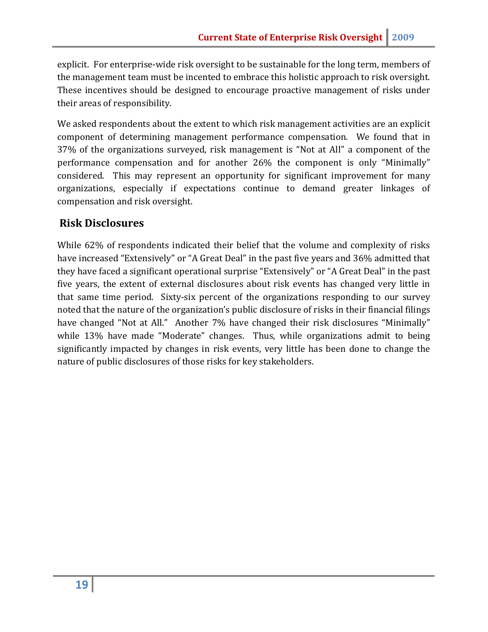explicit. For enterprise-wide risk oversight to be sustainable for the long term, members of the management team must be incented to embrace this holistic approach to risk oversight. These incentives should be designed to encourage proactive management of risks under their areas of responsibility.

We asked respondents about the extent to which risk management activities are an explicit component of determining management performance compensation. We found that in 37% of the organizations surveyed, risk management is "Not at All" a component of the performance compensation and for another 26% the component is only "Minimally" considered. This may represent an opportunity for significant improvement for many organizations, especially if expectations continue to demand greater linkages of compensation and risk oversight.

#### **Risk Disclosures**

While 62% of respondents indicated their belief that the volume and complexity of risks have increased "Extensively" or "A Great Deal" in the past five years and 36% admitted that they have faced a significant operational surprise "Extensively" or "A Great Deal" in the past five years, the extent of external disclosures about risk events has changed very little in that same time period. Sixty-six percent of the organizations responding to our survey noted that the nature of the organization's public disclosure of risks in their financial filings have changed "Not at All." Another 7% have changed their risk disclosures "Minimally" while 13% have made "Moderate" changes. Thus, while organizations admit to being significantly impacted by changes in risk events, very little has been done to change the nature of public disclosures of those risks for key stakeholders.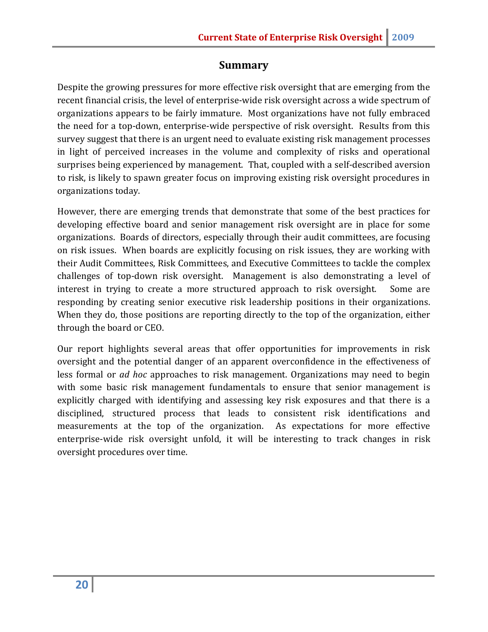#### **Summary**

Despite the growing pressures for more effective risk oversight that are emerging from the recent financial crisis, the level of enterprise-wide risk oversight across a wide spectrum of organizations appears to be fairly immature. Most organizations have not fully embraced the need for a top-down, enterprise-wide perspective of risk oversight. Results from this survey suggest that there is an urgent need to evaluate existing risk management processes in light of perceived increases in the volume and complexity of risks and operational surprises being experienced by management. That, coupled with a self-described aversion to risk, is likely to spawn greater focus on improving existing risk oversight procedures in organizations today.

However, there are emerging trends that demonstrate that some of the best practices for developing effective board and senior management risk oversight are in place for some organizations. Boards of directors, especially through their audit committees, are focusing on risk issues. When boards are explicitly focusing on risk issues, they are working with their Audit Committees, Risk Committees, and Executive Committees to tackle the complex challenges of top-down risk oversight. Management is also demonstrating a level of interest in trying to create a more structured approach to risk oversight. Some are responding by creating senior executive risk leadership positions in their organizations. When they do, those positions are reporting directly to the top of the organization, either through the board or CEO.

Our report highlights several areas that offer opportunities for improvements in risk oversight and the potential danger of an apparent overconfidence in the effectiveness of less formal or *ad hoc* approaches to risk management. Organizations may need to begin with some basic risk management fundamentals to ensure that senior management is explicitly charged with identifying and assessing key risk exposures and that there is a disciplined, structured process that leads to consistent risk identifications and measurements at the top of the organization. As expectations for more effective enterprise-wide risk oversight unfold, it will be interesting to track changes in risk oversight procedures over time.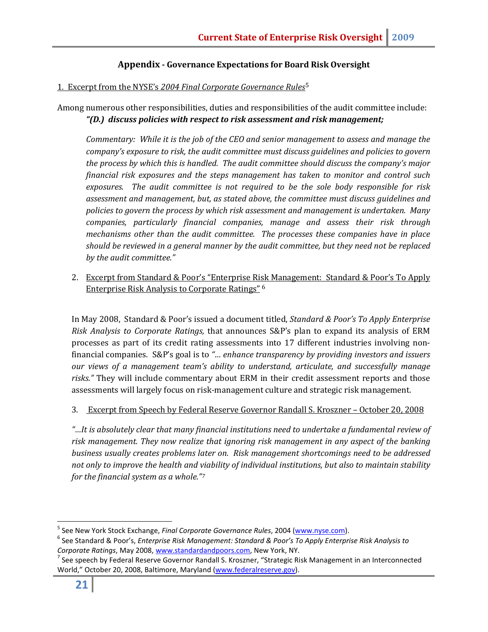#### **Appendix - Governance Expectations for Board Risk Oversight**

#### 1. Excerpt from the NYSE's *2004 Final Corporate Governance Rules*[5](#page-21-0)

Among numerous other responsibilities, duties and responsibilities of the audit committee include: *"(D.) discuss policies with respect to risk assessment and risk management;*

*Commentary: While it is the job of the CEO and senior management to assess and manage the company's exposure to risk, the audit committee must discuss guidelines and policies to govern the process by which this is handled. The audit committee should discuss the company's major financial risk exposures and the steps management has taken to monitor and control such exposures. The audit committee is not required to be the sole body responsible for risk assessment and management, but, as stated above, the committee must discuss guidelines and policies to govern the process by which risk assessment and management is undertaken. Many companies, particularly financial companies, manage and assess their risk through mechanisms other than the audit committee. The processes these companies have in place should be reviewed in a general manner by the audit committee, but they need not be replaced by the audit committee."* 

2. Excerpt from Standard & Poor's "Enterprise Ri[sk](#page-21-1) Management: Standard & Poor's To Apply Enterprise Risk Analysis to Corporate Ratings" <sup>6</sup>

In May 2008, Standard & Poor's issued a document titled, *Standard & Poor's To Apply Enterprise Risk Analysis to Corporate Ratings,* that announces S&P's plan to expand its analysis of ERM processes as part of its credit rating assessments into 17 different industries involving nonfinancial companies. S&P's goal is to *"… enhance transparency by providing investors and issuers our views of a management team's ability to understand, articulate, and successfully manage risks."* They will include commentary about ERM in their credit assessment reports and those assessments will largely focus on risk-management culture and strategic risk management.

3. Excerpt from Speech by Federal Reserve Governor Randall S. Kroszner – October 20, 2008

*"…It is absolutely clear that many financial institutions need to undertake a fundamental review of risk management. They now realize that ignoring risk management in any aspect of the banking business usually creates problems later on. Risk management shortcomings need to be addressed not only to improve the health and viability of individual institutions, but also to maintain stability for the financial system as a whole." [7](#page-21-2)*

<span id="page-21-0"></span> <sup>5</sup> See New York Stock Exchange, *Final Corporate Governance Rules*, 2004 [\(www.nyse.com\)](http://www.nyse.com/).

<span id="page-21-1"></span><sup>6</sup> See Standard & Poor's, *Enterprise Risk Management: Standard & Poor's To Apply Enterprise Risk Analysis to Corporate Ratings*, May 2008, [www.standardandpoors.com,](http://www.standardandpoors.com/) New York, NY.

<span id="page-21-2"></span> $7$  See speech by Federal Reserve Governor Randall S. Kroszner, "Strategic Risk Management in an Interconnected World," October 20, 2008, Baltimore, Maryland [\(www.federalreserve.gov\)](http://www.federalreserve.gov/).